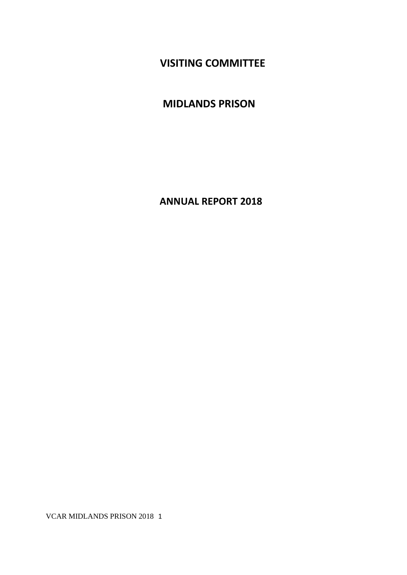**VISITING COMMITTEE**

**MIDLANDS PRISON**

**ANNUAL REPORT 2018**

VCAR MIDLANDS PRISON 2018 1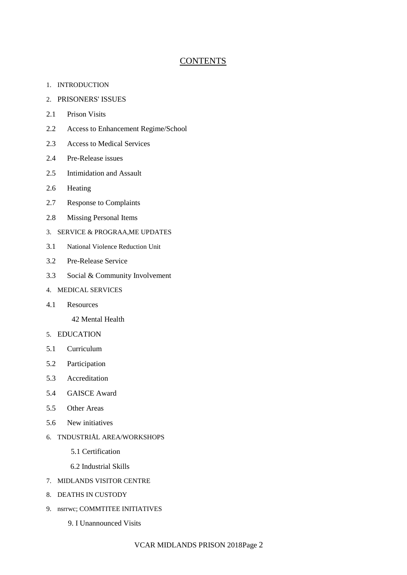# **CONTENTS**

- 1. INTRODUCTION
- 2. PRISONERS' ISSUES
- 2.1 Prison Visits
- 2.2 Access to Enhancement Regime/School
- 2.3 Access to Medical Services
- 2.4 Pre-Release issues
- 2.5 Intimidation and Assault
- 2.6 Heating
- 2.7 Response to Complaints
- 2.8 Missing Personal Items
- 3. SERVICE & PROGRAA,ME UPDATES
- 3.1 National Violence Reduction Unit
- 3.2 Pre-Release Service
- 3.3 Social & Community Involvement
- 4. MEDICAL SERVICES
- 4.1 Resources

42 Mental Health

- 5. EDUCATION
- 5.1 Curriculum
- 5.2 Participation
- 5.3 Accreditation
- 5.4 GAISCE Award
- 5.5 Other Areas
- 5.6 New initiatives
- 6. TNDUSTRIÅL AREA/WORKSHOPS
	- 5.1 Certification
	- 6.2 Industrial Skills
- 7. MIDLANDS VISITOR CENTRE
- 8. DEATHS IN CUSTODY
- 9. nsrrwc; COMMTITEE INITIATIVES
	- 9. I Unannounced Visits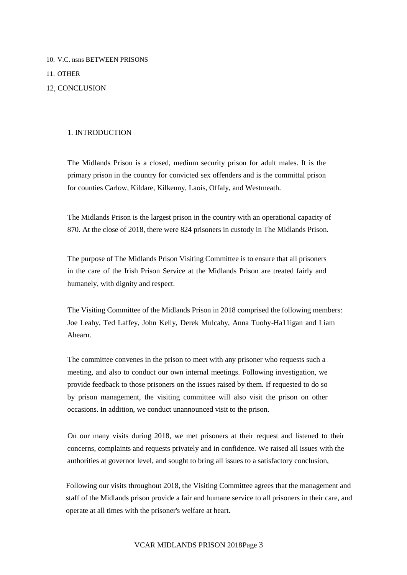10. V.C. nsns BETWEEN PRISONS 11. OTHER

## 12, CONCLUSION

## 1. INTRODUCTION

The Midlands Prison is a closed, medium security prison for adult males. It is the primary prison in the country for convicted sex offenders and is the committal prison for counties Carlow, Kildare, Kilkenny, Laois, Offaly, and Westmeath.

The Midlands Prison is the largest prison in the country with an operational capacity of 870. At the close of 2018, there were 824 prisoners in custody in The Midlands Prison.

The purpose of The Midlands Prison Visiting Committee is to ensure that all prisoners in the care of the Irish Prison Service at the Midlands Prison are treated fairly and humanely, with dignity and respect.

The Visiting Committee of the Midlands Prison in 2018 comprised the following members: Joe Leahy, Ted Laffey, John Kelly, Derek Mulcahy, Anna Tuohy-Ha11igan and Liam Ahearn.

The committee convenes in the prison to meet with any prisoner who requests such a meeting, and also to conduct our own internal meetings. Following investigation, we provide feedback to those prisoners on the issues raised by them. If requested to do so by prison management, the visiting committee will also visit the prison on other occasions. In addition, we conduct unannounced visit to the prison.

On our many visits during 2018, we met prisoners at their request and listened to their concerns, complaints and requests privately and in confidence. We raised all issues with the authorities at governor level, and sought to bring all issues to a satisfactory conclusion,

Following our visits throughout 2018, the Visiting Committee agrees that the management and staff of the Midlands prison provide a fair and humane service to all prisoners in their care, and operate at all times with the prisoner's welfare at heart.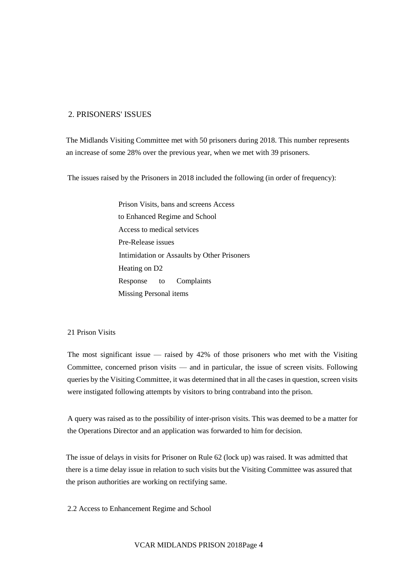# 2. PRISONERS' ISSUES

The Midlands Visiting Committee met with 50 prisoners during 2018. This number represents an increase of some 28% over the previous year, when we met with 39 prisoners.

The issues raised by the Prisoners in 2018 included the following (in order of frequency):

Prison Visits, bans and screens Access to Enhanced Regime and School Access to medical setvices Pre-Release issues Intimidation or Assaults by Other Prisoners Heating on D2 Response to Complaints Missing Personal items

### 21 Prison Visits

The most significant issue — raised by  $42\%$  of those prisoners who met with the Visiting Committee, concerned prison visits — and in particular, the issue of screen visits. Following queries by the Visiting Committee, it was determined that in all the cases in question, screen visits were instigated following attempts by visitors to bring contraband into the prison.

A query was raised as to the possibility of inter-prison visits. This was deemed to be a matter for the Operations Director and an application was forwarded to him for decision.

The issue of delays in visits for Prisoner on Rule 62 (lock up) was raised. It was admitted that there is a time delay issue in relation to such visits but the Visiting Committee was assured that the prison authorities are working on rectifying same.

2.2 Access to Enhancement Regime and School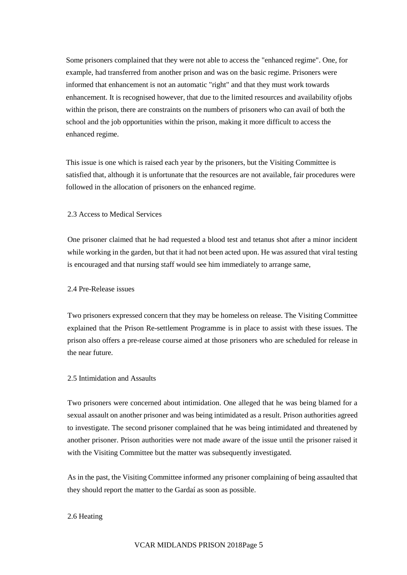Some prisoners complained that they were not able to access the "enhanced regime". One, for example, had transferred from another prison and was on the basic regime. Prisoners were informed that enhancement is not an automatic "right" and that they must work towards enhancement. It is recognised however, that due to the limited resources and availability ofjobs within the prison, there are constraints on the numbers of prisoners who can avail of both the school and the job opportunities within the prison, making it more difficult to access the enhanced regime.

This issue is one which is raised each year by the prisoners, but the Visiting Committee is satisfied that, although it is unfortunate that the resources are not available, fair procedures were followed in the allocation of prisoners on the enhanced regime.

#### 2.3 Access to Medical Services

One prisoner claimed that he had requested a blood test and tetanus shot after a minor incident while working in the garden, but that it had not been acted upon. He was assured that viral testing is encouraged and that nursing staff would see him immediately to arrange same,

#### 2.4 Pre-Release issues

Two prisoners expressed concern that they may be homeless on release. The Visiting Committee explained that the Prison Re-settlement Programme is in place to assist with these issues. The prison also offers a pre-release course aimed at those prisoners who are scheduled for release in the near future.

#### 2.5 Intimidation and Assaults

Two prisoners were concerned about intimidation. One alleged that he was being blamed for a sexual assault on another prisoner and was being intimidated as a result. Prison authorities agreed to investigate. The second prisoner complained that he was being intimidated and threatened by another prisoner. Prison authorities were not made aware of the issue until the prisoner raised it with the Visiting Committee but the matter was subsequently investigated.

As in the past, the Visiting Committee informed any prisoner complaining of being assaulted that they should report the matter to the Gardaí as soon as possible.

#### 2.6 Heating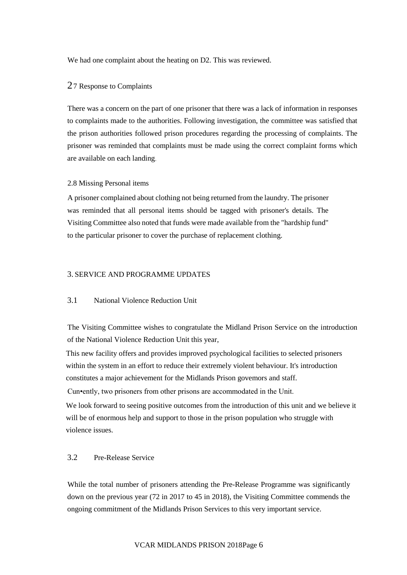We had one complaint about the heating on D2. This was reviewed.

## 27 Response to Complaints

There was a concern on the part of one prisoner that there was a lack of information in responses to complaints made to the authorities. Following investigation, the committee was satisfied that the prison authorities followed prison procedures regarding the processing of complaints. The prisoner was reminded that complaints must be made using the correct complaint forms which are available on each landing

### 2.8 Missing Personal items

A prisoner complained about clothing not being returned from the laundry. The prisoner was reminded that all personal items should be tagged with prisoner's details. The Visiting Committee also noted that funds were made available from the "hardship fund" to the particular prisoner to cover the purchase of replacement clothing.

#### 3. SERVICE AND PROGRAMME UPDATES

## 3.1 National Violence Reduction Unit

The Visiting Committee wishes to congratulate the Midland Prison Service on the introduction of the National Violence Reduction Unit this year,

This new facility offers and provides improved psychological facilities to selected prisoners within the system in an effort to reduce their extremely violent behaviour. It's introduction constitutes a major achievement for the Midlands Prison govemors and staff.

Cun•ently, two prisoners from other prisons are accommodated in the Unit.

We look forward to seeing positive outcomes from the introduction of this unit and we believe it will be of enormous help and support to those in the prison population who struggle with violence issues.

# 3.2 Pre-Release Service

While the total number of prisoners attending the Pre-Release Programme was significantly down on the previous year (72 in 2017 to 45 in 2018), the Visiting Committee commends the ongoing commitment of the Midlands Prison Services to this very important service.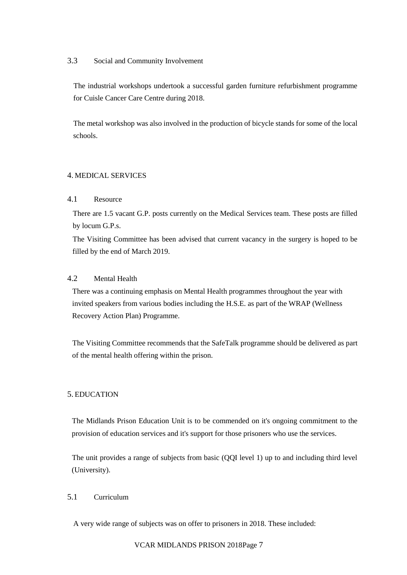## 3.3 Social and Community Involvement

The industrial workshops undertook a successful garden furniture refurbishment programme for Cuisle Cancer Care Centre during 2018.

The metal workshop was also involved in the production of bicycle stands for some of the local schools.

# 4. MEDICAL SERVICES

# 4.1 Resource

There are 1.5 vacant G.P. posts currently on the Medical Services team. These posts are filled by locum G.P.s.

The Visiting Committee has been advised that current vacancy in the surgery is hoped to be filled by the end of March 2019.

# 4.2 Mental Health

There was a continuing emphasis on Mental Health programmes throughout the year with invited speakers from various bodies including the H.S.E. as part of the WRAP (Wellness Recovery Action Plan) Programme.

The Visiting Committee recommends that the SafeTalk programme should be delivered as part of the mental health offering within the prison.

# 5. EDUCATION

The Midlands Prison Education Unit is to be commended on it's ongoing commitment to the provision of education services and it's support for those prisoners who use the services.

The unit provides a range of subjects from basic (QQI level 1) up to and including third level (University).

### 5.1 Curriculum

A very wide range of subjects was on offer to prisoners in 2018. These included: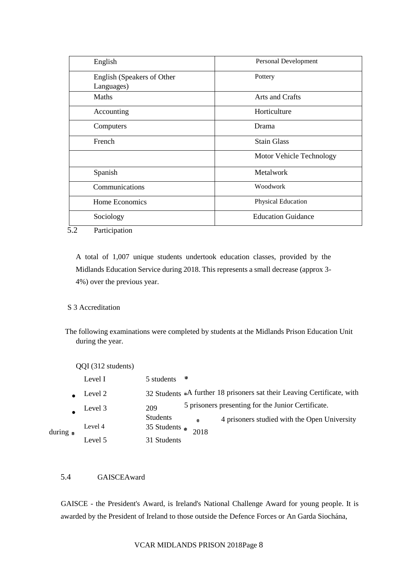| English                                  | Personal Development      |
|------------------------------------------|---------------------------|
| English (Speakers of Other<br>Languages) | Pottery                   |
| Maths                                    | Arts and Crafts           |
| Accounting                               | Horticulture              |
| Computers                                | Drama                     |
| French                                   | <b>Stain Glass</b>        |
|                                          | Motor Vehicle Technology  |
| Spanish                                  | Metalwork                 |
| Communications                           | Woodwork                  |
| Home Economics                           | Physical Education        |
| Sociology                                | <b>Education Guidance</b> |

5.2 Participation

A total of 1,007 unique students undertook education classes, provided by the Midlands Education Service during 2018. This represents a small decrease (approx 3- 4%) over the previous year.

# S 3 Accreditation

The following examinations were completed by students at the Midlands Prison Education Unit during the year.

| QQI (312 students) |  |
|--------------------|--|
|--------------------|--|

|                  | Level I | $5$ students $\blacksquare$          |                   |                                                                        |
|------------------|---------|--------------------------------------|-------------------|------------------------------------------------------------------------|
|                  | Level 2 |                                      |                   | 32 Students A further 18 prisoners sat their Leaving Certificate, with |
|                  | Level 3 | 209                                  |                   | 5 prisoners presenting for the Junior Certificate.                     |
| $during_{\odot}$ | Level 4 | Students<br>35 Students $_{\bullet}$ | $\bullet$<br>2018 | 4 prisoners studied with the Open University                           |
|                  | Level 5 | 31 Students                          |                   |                                                                        |

# 5.4 GAISCEAward

GAISCE - the President's Award, is Ireland's National Challenge Award for young people. It is awarded by the President of Ireland to those outside the Defence Forces or An Garda Siochána,

# VCAR MIDLANDS PRISON 2018Page 8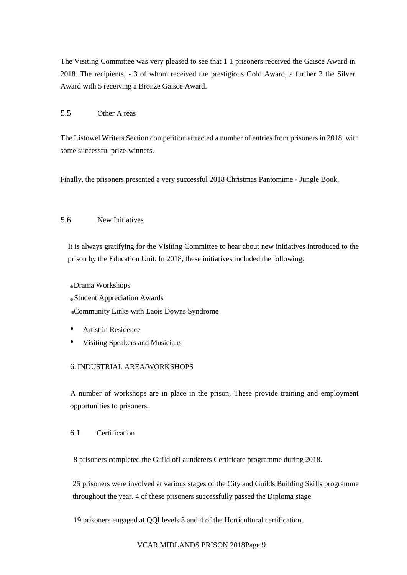The Visiting Committee was very pleased to see that 1 1 prisoners received the Gaisce Award in 2018. The recipients, - 3 of whom received the prestigious Gold Award, a further 3 the Silver Award with 5 receiving a Bronze Gaisce Award.

### 5.5 Other A reas

The Listowel Writers Section competition attracted a number of entries from prisoners in 2018, with some successful prize-winners.

Finally, the prisoners presented a very successful 2018 Christmas Pantomime - Jungle Book.

# 5.6 New Initiatives

It is always gratifying for the Visiting Committee to hear about new initiatives introduced to the prison by the Education Unit. In 2018, these initiatives included the following:

Drama Workshops

Student Appreciation Awards

Community Links with Laois Downs Syndrome

- Artist in Residence
- Visiting Speakers and Musicians

# 6. INDUSTRIAL AREA/WORKSHOPS

A number of workshops are in place in the prison, These provide training and employment opportunities to prisoners.

# 6.1 Certification

8 prisoners completed the Guild ofLaunderers Certificate programme during 2018.

25 prisoners were involved at various stages of the City and Guilds Building Skills programme throughout the year. 4 of these prisoners successfully passed the Diploma stage

19 prisoners engaged at QQI levels 3 and 4 of the Horticultural certification.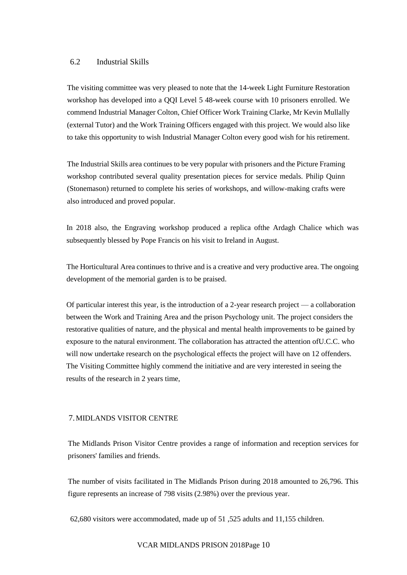#### 6.2 Industrial Skills

The visiting committee was very pleased to note that the 14-week Light Furniture Restoration workshop has developed into a QQI Level 5 48-week course with 10 prisoners enrolled. We commend Industrial Manager Colton, Chief Officer Work Training Clarke, Mr Kevin Mullally (external Tutor) and the Work Training Officers engaged with this project. We would also like to take this opportunity to wish Industrial Manager Colton every good wish for his retirement.

The Industrial Skills area continues to be very popular with prisoners and the Picture Framing workshop contributed several quality presentation pieces for service medals. Philip Quinn (Stonemason) returned to complete his series of workshops, and willow-making crafts were also introduced and proved popular.

In 2018 also, the Engraving workshop produced a replica ofthe Ardagh Chalice which was subsequently blessed by Pope Francis on his visit to Ireland in August.

The Horticultural Area continues to thrive and is a creative and very productive area. The ongoing development of the memorial garden is to be praised.

Of particular interest this year, is the introduction of a 2-year research project — a collaboration between the Work and Training Area and the prison Psychology unit. The project considers the restorative qualities of nature, and the physical and mental health improvements to be gained by exposure to the natural environment. The collaboration has attracted the attention ofU.C.C. who will now undertake research on the psychological effects the project will have on 12 offenders. The Visiting Committee highly commend the initiative and are very interested in seeing the results of the research in 2 years time,

#### 7.MIDLANDS VISITOR CENTRE

The Midlands Prison Visitor Centre provides a range of information and reception services for prisoners' families and friends.

The number of visits facilitated in The Midlands Prison during 2018 amounted to 26,796. This figure represents an increase of 798 visits (2.98%) over the previous year.

62,680 visitors were accommodated, made up of 51 ,525 adults and 11,155 children.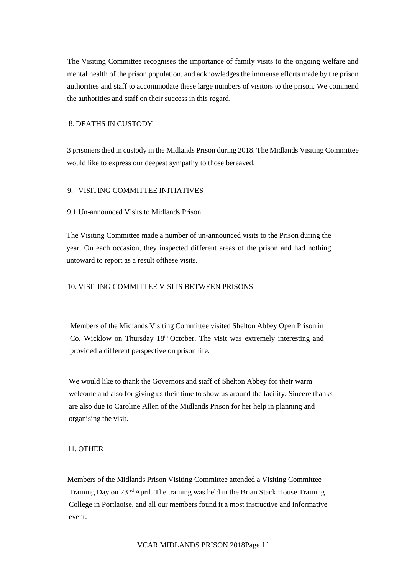The Visiting Committee recognises the importance of family visits to the ongoing welfare and mental health of the prison population, and acknowledges the immense efforts made by the prison authorities and staff to accommodate these large numbers of visitors to the prison. We commend the authorities and staff on their success in this regard.

## 8.DEATHS IN CUSTODY

3 prisoners died in custody in the Midlands Prison during 2018. The Midlands Visiting Committee would like to express our deepest sympathy to those bereaved.

## 9. VISITING COMMITTEE INITIATIVES

### 9.1 Un-announced Visits to Midlands Prison

The Visiting Committee made a number of un-announced visits to the Prison during the year. On each occasion, they inspected different areas of the prison and had nothing untoward to report as a result ofthese visits.

## 10. VISITING COMMITTEE VISITS BETWEEN PRISONS

Members of the Midlands Visiting Committee visited Shelton Abbey Open Prison in Co. Wicklow on Thursday 18<sup>th</sup> October. The visit was extremely interesting and provided a different perspective on prison life.

We would like to thank the Governors and staff of Shelton Abbey for their warm welcome and also for giving us their time to show us around the facility. Sincere thanks are also due to Caroline Allen of the Midlands Prison for her help in planning and organising the visit.

### 11. OTHER

Members of the Midlands Prison Visiting Committee attended a Visiting Committee Training Day on 23 rd April. The training was held in the Brian Stack House Training College in Portlaoise, and all our members found it a most instructive and informative event.